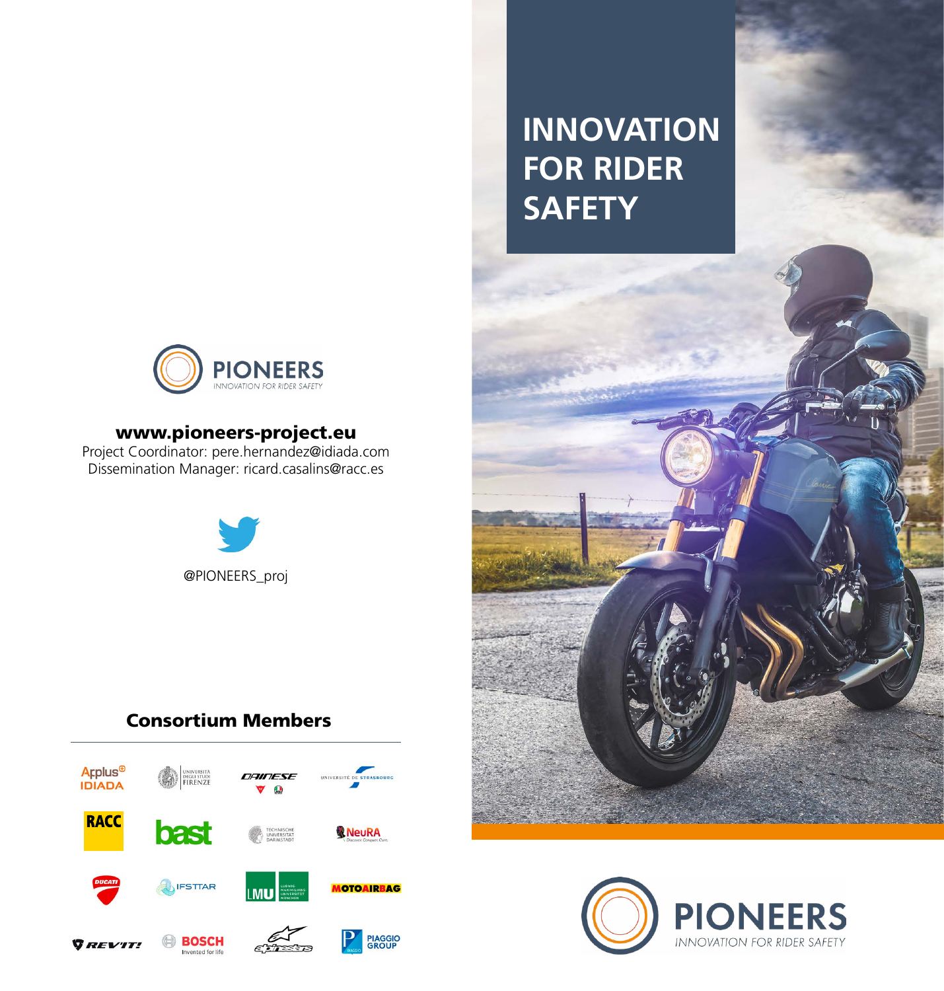

#### www.pioneers-project.eu

Project Coordinator: pere.hernandez@idiada.com Dissemination Manager: ricard.casalins@racc.es



### Consortium Members